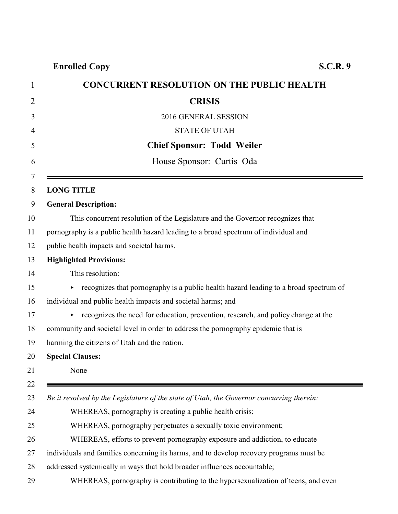## **Enrolled Copy S.C.R. 9**

| <b>CONCURRENT RESOLUTION ON THE PUBLIC HEALTH</b>                                        |
|------------------------------------------------------------------------------------------|
| <b>CRISIS</b>                                                                            |
| 2016 GENERAL SESSION                                                                     |
| <b>STATE OF UTAH</b>                                                                     |
| <b>Chief Sponsor: Todd Weiler</b>                                                        |
| House Sponsor: Curtis Oda                                                                |
| <b>LONG TITLE</b>                                                                        |
| <b>General Description:</b>                                                              |
| This concurrent resolution of the Legislature and the Governor recognizes that           |
| pornography is a public health hazard leading to a broad spectrum of individual and      |
| public health impacts and societal harms.                                                |
| <b>Highlighted Provisions:</b>                                                           |
| This resolution:                                                                         |
| recognizes that pornography is a public health hazard leading to a broad spectrum of     |
| individual and public health impacts and societal harms; and                             |
| recognizes the need for education, prevention, research, and policy change at the        |
| community and societal level in order to address the pornography epidemic that is        |
| harming the citizens of Utah and the nation.                                             |
| <b>Special Clauses:</b>                                                                  |
| None                                                                                     |
| Be it resolved by the Legislature of the state of Utah, the Governor concurring therein: |
| WHEREAS, pornography is creating a public health crisis;                                 |
| WHEREAS, pornography perpetuates a sexually toxic environment;                           |
| WHEREAS, efforts to prevent pornography exposure and addiction, to educate               |
| individuals and families concerning its harms, and to develop recovery programs must be  |
| addressed systemically in ways that hold broader influences accountable;                 |
| WHEREAS, pornography is contributing to the hypersexualization of teens, and even        |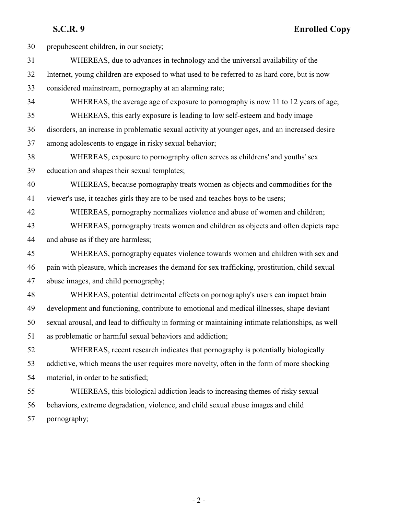**S.C.R. 9 Enrolled Copy**

| 30 | prepubescent children, in our society;                                                           |
|----|--------------------------------------------------------------------------------------------------|
| 31 | WHEREAS, due to advances in technology and the universal availability of the                     |
| 32 | Internet, young children are exposed to what used to be referred to as hard core, but is now     |
| 33 | considered mainstream, pornography at an alarming rate;                                          |
| 34 | WHEREAS, the average age of exposure to pornography is now 11 to 12 years of age;                |
| 35 | WHEREAS, this early exposure is leading to low self-esteem and body image                        |
| 36 | disorders, an increase in problematic sexual activity at younger ages, and an increased desire   |
| 37 | among adolescents to engage in risky sexual behavior;                                            |
| 38 | WHEREAS, exposure to pornography often serves as childrens' and youths' sex                      |
| 39 | education and shapes their sexual templates;                                                     |
| 40 | WHEREAS, because pornography treats women as objects and commodities for the                     |
| 41 | viewer's use, it teaches girls they are to be used and teaches boys to be users;                 |
| 42 | WHEREAS, pornography normalizes violence and abuse of women and children;                        |
| 43 | WHEREAS, pornography treats women and children as objects and often depicts rape                 |
| 44 | and abuse as if they are harmless;                                                               |
| 45 | WHEREAS, pornography equates violence towards women and children with sex and                    |
| 46 | pain with pleasure, which increases the demand for sex trafficking, prostitution, child sexual   |
| 47 | abuse images, and child pornography;                                                             |
| 48 | WHEREAS, potential detrimental effects on pornography's users can impact brain                   |
| 49 | development and functioning, contribute to emotional and medical illnesses, shape deviant        |
| 50 | sexual arousal, and lead to difficulty in forming or maintaining intimate relationships, as well |
| 51 | as problematic or harmful sexual behaviors and addiction;                                        |
| 52 | WHEREAS, recent research indicates that pornography is potentially biologically                  |
| 53 | addictive, which means the user requires more novelty, often in the form of more shocking        |
| 54 | material, in order to be satisfied;                                                              |
| 55 | WHEREAS, this biological addiction leads to increasing themes of risky sexual                    |
| 56 | behaviors, extreme degradation, violence, and child sexual abuse images and child                |
| 57 | pornography;                                                                                     |